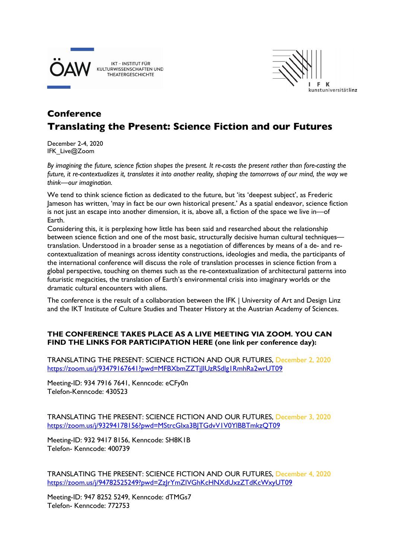

IKT - INSTITUT FÜR KULTURWISSENSCHAFTEN UND **THEATERGESCHICHTE** 



## **Conference Translating the Present: Science Fiction and our Futures**

December 2-4, 2020 IFK\_Live@Zoom

*By imagining the future, science fiction shapes the present. It re-casts the present rather than fore-casting the future, it re-contextualizes it, translates it into another reality, shaping the tomorrows of our mind, the way we think—our imagination.*

We tend to think science fiction as dedicated to the future, but 'its 'deepest subject', as Frederic Jameson has written, 'may in fact be our own historical present.' As a spatial endeavor, science fiction is not just an escape into another dimension, it is, above all, a fiction of the space we live in—of Earth.

Considering this, it is perplexing how little has been said and researched about the relationship between science fiction and one of the most basic, structurally decisive human cultural techniques translation. Understood in a broader sense as a negotiation of differences by means of a de- and recontextualization of meanings across identity constructions, ideologies and media, the participants of the international conference will discuss the role of translation processes in science fiction from a global perspective, touching on themes such as the re-contextualization of architectural patterns into futuristic megacities, the translation of Earth's environmental crisis into imaginary worlds or the dramatic cultural encounters with aliens.

The conference is the result of a collaboration between the IFK | University of Art and Design Linz and the IKT Institute of Culture Studies and Theater History at the Austrian Academy of Sciences.

## **THE CONFERENCE TAKES PLACE AS A LIVE MEETING VIA ZOOM. YOU CAN FIND THE LINKS FOR PARTICIPATION HERE (one link per conference day):**

TRANSLATING THE PRESENT: SCIENCE FICTION AND OUR FUTURES, December 2, 2020 https://zoom.us/j/93479167641?pwd=MFBXbmZZTjJIUzRSdlg1RmhRa2wrUT09

Meeting-ID: 934 7916 7641, Kenncode: eCFy0n Telefon-Kenncode: 430523

TRANSLATING THE PRESENT: SCIENCE FICTION AND OUR FUTURES, December 3, 2020 https://zoom.us/j/93294178156?pwd=MStrcGlxa3BJTGdvV1V0YlBBTmkzQT09

Meeting-ID: 932 9417 8156, Kenncode: SH8K1B Telefon- Kenncode: 400739

TRANSLATING THE PRESENT: SCIENCE FICTION AND OUR FUTURES, December 4, 2020 https://zoom.us/j/94782525249?pwd=ZzJrYmZIVGhKcHNXdUxzZTdKcWxyUT09

Meeting-ID: 947 8252 5249, Kenncode: dTMGs7 Telefon- Kenncode: 772753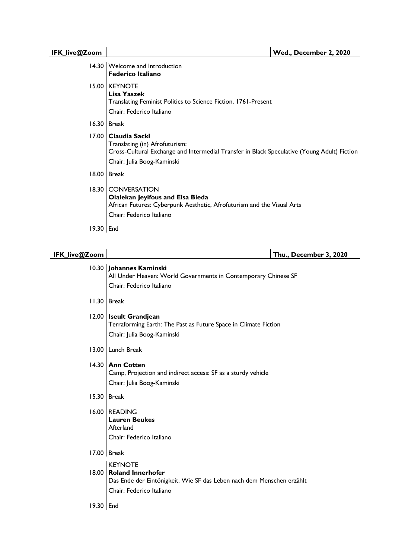| 14.30 | Welcome and Introduction<br><b>Federico Italiano</b>                                                                                                                         |
|-------|------------------------------------------------------------------------------------------------------------------------------------------------------------------------------|
| 15.00 | <b>KEYNOTE</b><br>Lisa Yaszek<br>Translating Feminist Politics to Science Fiction, 1761-Present<br>Chair: Federico Italiano                                                  |
| 16.30 | Break                                                                                                                                                                        |
| 17.00 | Claudia Sackl<br>Translating (in) Afrofuturism:<br>Cross-Cultural Exchange and Intermedial Transfer in Black Speculative (Young Adult) Fiction<br>Chair: Julia Boog-Kaminski |
| 18.00 | <b>Break</b>                                                                                                                                                                 |
| 18.30 | <b>CONVERSATION</b><br><b>Olalekan Jeyifous and Elsa Bleda</b><br>African Futures: Cyberpunk Aesthetic, Afrofuturism and the Visual Arts<br>Chair: Federico Italiano         |
| 19.30 | l End                                                                                                                                                                        |

## **IFK\_live@Zoom Thu., December 3, 2020**

|       | 10.30 Johannes Kaminski<br>All Under Heaven: World Governments in Contemporary Chinese SF<br>Chair: Federico Italiano                           |
|-------|-------------------------------------------------------------------------------------------------------------------------------------------------|
| 11.30 | <b>Break</b>                                                                                                                                    |
| 12.00 | <b>Iseult Grandjean</b><br>Terraforming Earth: The Past as Future Space in Climate Fiction<br>Chair: Julia Boog-Kaminski                        |
| 13.00 | Lunch Break                                                                                                                                     |
| 14.30 | <b>Ann Cotten</b><br>Camp, Projection and indirect access: SF as a sturdy vehicle<br>Chair: Julia Boog-Kaminski                                 |
| 15.30 | <b>Break</b>                                                                                                                                    |
| 16.00 | <b>READING</b><br><b>Lauren Beukes</b><br>Afterland<br>Chair: Federico Italiano                                                                 |
|       | 17.00   Break                                                                                                                                   |
| 18.00 | <b>KEYNOTE</b><br><b>Roland Innerhofer</b><br>Das Ende der Eintönigkeit. Wie SF das Leben nach dem Menschen erzählt<br>Chair: Federico Italiano |

19.30 End